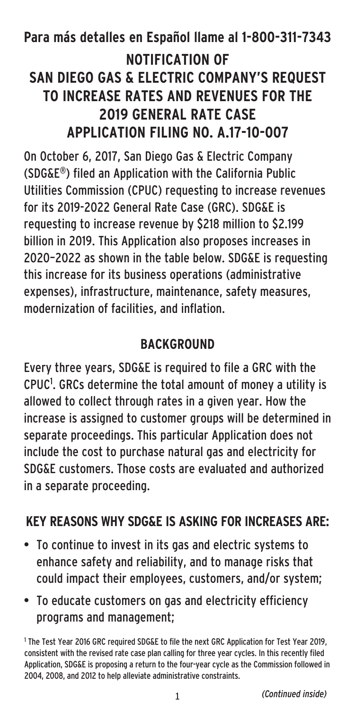# **Para más detalles en Español llame al 1-800-311-7343 NOTIFICATION OF SAN DIEGO GAS & ELECTRIC COMPANY'S REQUEST TO INCREASE RATES AND REVENUES FOR THE 2019 GENERAL RATE CASE APPLICATION FILING NO. A.17-10-007**

On October 6, 2017, San Diego Gas & Electric Company (SDG&E®) filed an Application with the California Public Utilities Commission (CPUC) requesting to increase revenues for its 2019-2022 General Rate Case (GRC). SDG&E is requesting to increase revenue by \$218 million to \$2.199 billion in 2019. This Application also proposes increases in 2020–2022 as shown in the table below. SDG&E is requesting this increase for its business operations (administrative expenses), infrastructure, maintenance, safety measures, modernization of facilities, and inflation.

# **BACKGROUND**

Every three years, SDG&E is required to file a GRC with the CPUC<sup>1</sup>. GRCs determine the total amount of money a utility is allowed to collect through rates in a given year. How the increase is assigned to customer groups will be determined in separate proceedings. This particular Application does not include the cost to purchase natural gas and electricity for SDG&E customers. Those costs are evaluated and authorized in a separate proceeding.

# **KEY REASONS WHY SDG&E IS ASKING FOR INCREASES ARE:**

- To continue to invest in its gas and electric systems to enhance safety and reliability, and to manage risks that could impact their employees, customers, and/or system;
- To educate customers on gas and electricity efficiency programs and management;

<sup>1</sup> The Test Year 2016 GRC required SDG&E to file the next GRC Application for Test Year 2019, consistent with the revised rate case plan calling for three year cycles. In this recently filed Application, SDG&E is proposing a return to the four-year cycle as the Commission followed in 2004, 2008, and 2012 to help alleviate administrative constraints.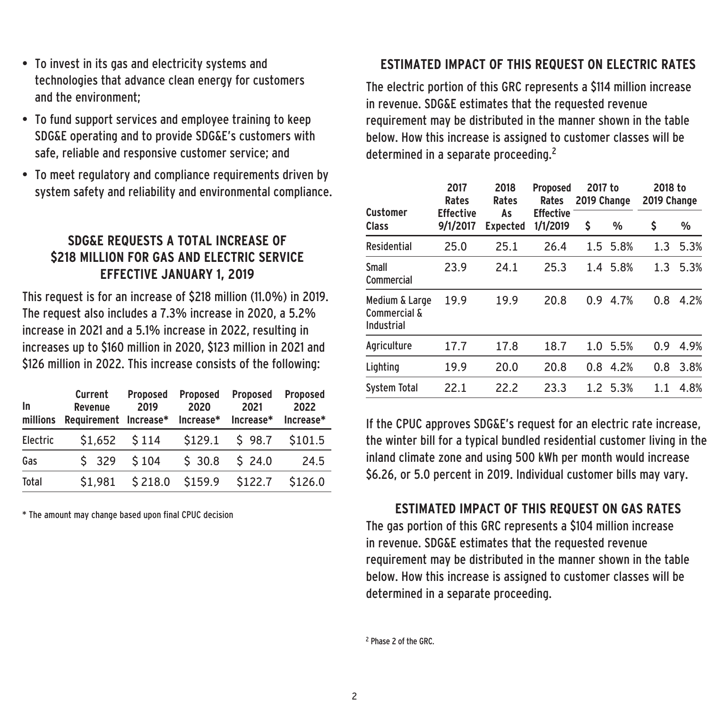- To invest in its gas and electricity systems and technologies that advance clean energy for customers and the environment;
- To fund support services and employee training to keep SDG&E operating and to provide SDG&E's customers with safe, reliable and responsive customer service; and
- To meet regulatory and compliance requirements driven by system safety and reliability and environmental compliance.

### **SDG&E REQUESTS A TOTAL INCREASE OF \$218 MILLION FOR GAS AND ELECTRIC SERVICE EFFECTIVE JANUARY 1, 2019**

This request is for an increase of \$218 million (11.0%) in 2019. The request also includes a 7.3% increase in 2020, a 5.2% increase in 2021 and a 5.1% increase in 2022, resulting in increases up to \$160 million in 2020, \$123 million in 2021 and \$126 million in 2022. This increase consists of the following:

| In<br>millions | Current<br>Revenue<br>Requirement Increase* Increase* | Proposed<br>2019 | Proposed<br>2020 | Proposed<br>2021<br>Increase* | Proposed<br>2022<br>Increase* |
|----------------|-------------------------------------------------------|------------------|------------------|-------------------------------|-------------------------------|
| Electric       | \$1,652                                               | \$114            | \$129.1          | \$98.7                        | \$101.5                       |
| Gas            | \$329                                                 | \$104            | \$30.8           | \$24.0                        | 24.5                          |
| Total          | \$1.981                                               | \$218.0          | \$159.9          | \$122.7                       | \$126.0                       |

\* The amount may change based upon final CPUC decision

# **ESTIMATED IMPACT OF THIS REQUEST ON ELECTRIC RATES**

The electric portion of this GRC represents a \$114 million increase in revenue. SDG&E estimates that the requested revenue requirement may be distributed in the manner shown in the table below. How this increase is assigned to customer classes will be determined in a separate proceeding.2

| 2017<br>Rates<br><b>Effective</b><br>9/1/2017 | 2018<br>Rates<br>As<br><b>Expected</b> | <b>Proposed</b><br>Rates<br><b>Effective</b><br>1/1/2019 | 2017 to<br>2019 Change |      | 2018 to<br>2019 Change    |      |
|-----------------------------------------------|----------------------------------------|----------------------------------------------------------|------------------------|------|---------------------------|------|
|                                               |                                        |                                                          | \$                     | %    | \$                        | %    |
| 25.0                                          | 25.1                                   | 26.4                                                     | $1.5^{\circ}$          | 5.8% | 1.3                       | 5.3% |
| 23.9                                          | 24.1                                   | 25.3                                                     |                        | 5.8% | 1.3                       | 5.3% |
| 19.9                                          | 19.9                                   | 20.8                                                     | 0.9                    | 4.7% | 0.8                       | 4.2% |
| 17.7                                          | 17.8                                   | 18.7                                                     | 1.0                    | 5.5% | 0.9                       | 4.9% |
| 19.9                                          | 20.0                                   | 20.8                                                     | 0.8                    | 4.2% | 0.8                       | 3.8% |
| 22.1                                          | 22.2                                   | 23.3                                                     |                        |      | 1.1                       | 4.8% |
|                                               |                                        |                                                          |                        |      | $1.4^{\circ}$<br>1.2 5.3% |      |

If the CPUC approves SDG&E's request for an electric rate increase, the winter bill for a typical bundled residential customer living in the inland climate zone and using 500 kWh per month would increase \$6.26, or 5.0 percent in 2019. Individual customer bills may vary.

# **ESTIMATED IMPACT OF THIS REQUEST ON GAS RATES**

The gas portion of this GRC represents a \$104 million increase in revenue. SDG&E estimates that the requested revenue requirement may be distributed in the manner shown in the table below. How this increase is assigned to customer classes will be determined in a separate proceeding.

```
<sup>2</sup> Phase 2 of the GRC.
```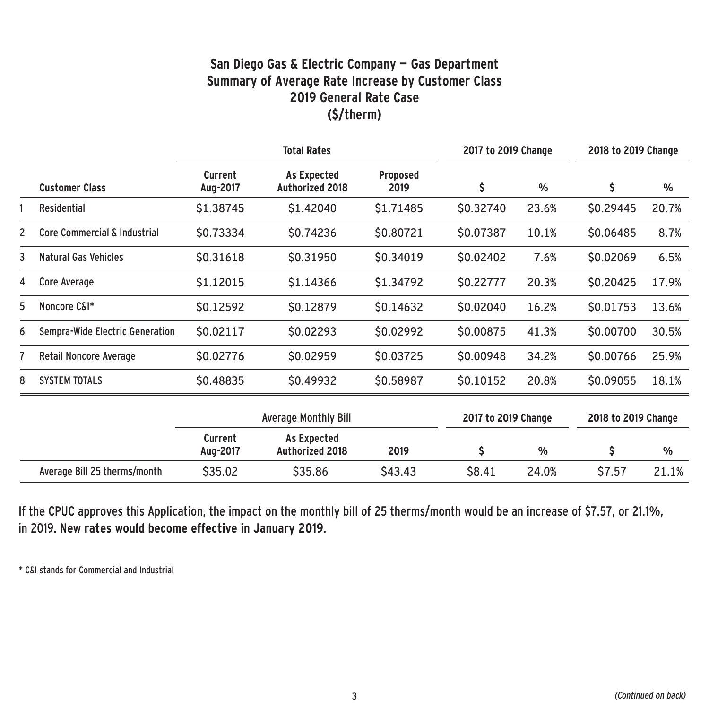#### **San Diego Gas & Electric Company — Gas Department Summary of Average Rate Increase by Customer Class 2019 General Rate Case (\$/therm)**

|   |                                 | <b>Total Rates</b>  |                                       |                  | 2017 to 2019 Change |               | 2018 to 2019 Change |               |
|---|---------------------------------|---------------------|---------------------------------------|------------------|---------------------|---------------|---------------------|---------------|
|   | <b>Customer Class</b>           | Current<br>Aug-2017 | As Expected<br><b>Authorized 2018</b> | Proposed<br>2019 | \$                  | $\frac{0}{0}$ | \$                  | %             |
|   | Residential                     | \$1.38745           | \$1.42040                             | \$1.71485        | \$0.32740           | 23.6%         | \$0.29445           | 20.7%         |
| 2 | Core Commercial & Industrial    | \$0.73334           | \$0.74236                             | \$0.80721        | \$0.07387           | 10.1%         | \$0.06485           | 8.7%          |
| 3 | Natural Gas Vehicles            | \$0.31618           | \$0.31950                             | \$0.34019        | \$0.02402           | 7.6%          | \$0.02069           | 6.5%          |
| 4 | Core Average                    | \$1.12015           | \$1.14366                             | \$1.34792        | \$0.22777           | 20.3%         | \$0.20425           | 17.9%         |
| 5 | Noncore C&I*                    | \$0.12592           | \$0.12879                             | \$0.14632        | \$0.02040           | 16.2%         | \$0.01753           | 13.6%         |
| 6 | Sempra-Wide Electric Generation | \$0.02117           | \$0.02293                             | \$0.02992        | \$0.00875           | 41.3%         | \$0.00700           | 30.5%         |
|   | Retail Noncore Average          | \$0.02776           | \$0.02959                             | \$0.03725        | \$0.00948           | 34.2%         | \$0.00766           | 25.9%         |
| 8 | <b>SYSTEM TOTALS</b>            | \$0.48835           | \$0.49932                             | \$0.58987        | \$0.10152           | 20.8%         | \$0.09055           | 18.1%         |
|   |                                 |                     | <b>Average Monthly Bill</b>           |                  | 2017 to 2019 Change |               | 2018 to 2019 Change |               |
|   |                                 | Current<br>Aug-2017 | As Expected<br>Authorized 2018        | 2019             | \$                  | $\frac{0}{0}$ | \$                  | $\frac{0}{0}$ |
|   | Average Bill 25 therms/month    | \$35.02             | \$35.86                               | \$43.43          | \$8.41              | 24.0%         | \$7.57              | 21.1%         |

If the CPUC approves this Application, the impact on the monthly bill of 25 therms/month would be an increase of \$7.57, or 21.1%, in 2019. **New rates would become effective in January 2019**.

\* C&I stands for Commercial and Industrial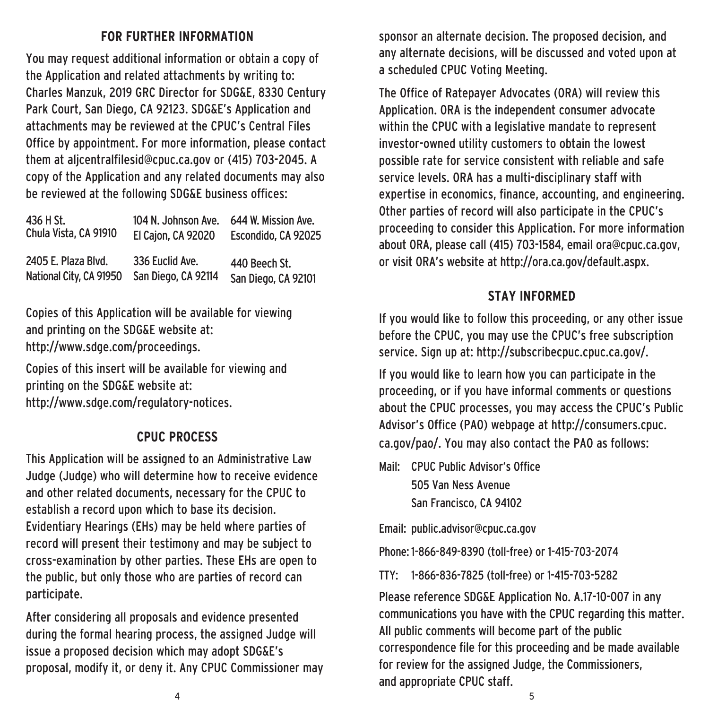#### **FOR FURTHER INFORMATION**

You may request additional information or obtain a copy of the Application and related attachments by writing to: Charles Manzuk, 2019 GRC Director for SDG&E, 8330 Century Park Court, San Diego, CA 92123. SDG&E's Application and attachments may be reviewed at the CPUC's Central Files Office by appointment. For more information, please contact them at aljcentralfilesid@cpuc.ca.gov or (415) 703-2045. A copy of the Application and any related documents may also be reviewed at the following SDG&E business offices:

| 436 H St.               | 104 N. Johnson Ave.       | 644 W. Mission Ave. |
|-------------------------|---------------------------|---------------------|
| Chula Vista, CA 91910   | <b>El Cajon, CA 92020</b> | Escondido. CA 92025 |
| 2405 E. Plaza Blvd.     | 336 Euclid Ave.           | 440 Beech St.       |
| National City, CA 91950 | San Diego, CA 92114       | San Diego, CA 92101 |

Copies of this Application will be available for viewing and printing on the SDG&E website at: http://www.sdge.com/proceedings.

Copies of this insert will be available for viewing and printing on the SDG&E website at: http://www.sdge.com/regulatory-notices.

#### **CPUC PROCESS**

This Application will be assigned to an Administrative Law Judge (Judge) who will determine how to receive evidence and other related documents, necessary for the CPUC to establish a record upon which to base its decision. Evidentiary Hearings (EHs) may be held where parties of record will present their testimony and may be subject to cross-examination by other parties. These EHs are open to the public, but only those who are parties of record can participate.

After considering all proposals and evidence presented during the formal hearing process, the assigned Judge will issue a proposed decision which may adopt SDG&E's proposal, modify it, or deny it. Any CPUC Commissioner may sponsor an alternate decision. The proposed decision, and any alternate decisions, will be discussed and voted upon at a scheduled CPUC Voting Meeting.

The Office of Ratepayer Advocates (ORA) will review this Application. ORA is the independent consumer advocate within the CPUC with a legislative mandate to represent investor-owned utility customers to obtain the lowest possible rate for service consistent with reliable and safe service levels. ORA has a multi-disciplinary staff with expertise in economics, finance, accounting, and engineering. Other parties of record will also participate in the CPUC's proceeding to consider this Application. For more information about ORA, please call (415) 703-1584, email ora@cpuc.ca.gov, or visit ORA's website at http://ora.ca.gov/default.aspx.

#### **STAY INFORMED**

If you would like to follow this proceeding, or any other issue before the CPUC, you may use the CPUC's free subscription service. Sign up at: http://subscribecpuc.cpuc.ca.gov/.

If you would like to learn how you can participate in the proceeding, or if you have informal comments or questions about the CPUC processes, you may access the CPUC's Public Advisor's Office (PAO) webpage at http://consumers.cpuc. ca.gov/pao/. You may also contact the PAO as follows:

Mail: CPUC Public Advisor's Office 505 Van Ness Avenue San Francisco, CA 94102

Email: public.advisor@cpuc.ca.gov

Phone: 1-866-849-8390 (toll-free) or 1-415-703-2074

TTY: 1-866-836-7825 (toll-free) or 1-415-703-5282

Please reference SDG&E Application No. A.17-10-007 in any communications you have with the CPUC regarding this matter. All public comments will become part of the public correspondence file for this proceeding and be made available for review for the assigned Judge, the Commissioners, and appropriate CPUC staff.